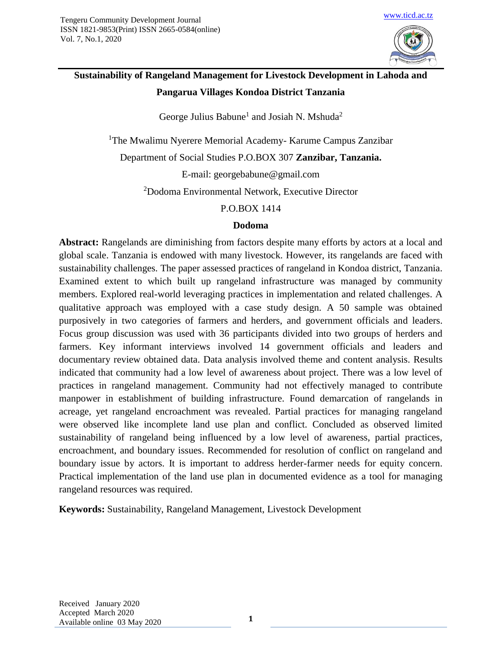

# **Sustainability of Rangeland Management for Livestock Development in Lahoda and Pangarua Villages Kondoa District Tanzania**

George Julius Babune<sup>1</sup> and Josiah N. Mshuda<sup>2</sup>

<sup>1</sup>The Mwalimu Nyerere Memorial Academy- Karume Campus Zanzibar

Department of Social Studies P.O.BOX 307 **Zanzibar, Tanzania.**

E-mail: georgebabune@gmail.com

<sup>2</sup>Dodoma Environmental Network, Executive Director

## P.O.BOX 1414

## **Dodoma**

**Abstract:** Rangelands are diminishing from factors despite many efforts by actors at a local and global scale. Tanzania is endowed with many livestock. However, its rangelands are faced with sustainability challenges. The paper assessed practices of rangeland in Kondoa district, Tanzania. Examined extent to which built up rangeland infrastructure was managed by community members. Explored real-world leveraging practices in implementation and related challenges. A qualitative approach was employed with a case study design. A 50 sample was obtained purposively in two categories of farmers and herders, and government officials and leaders. Focus group discussion was used with 36 participants divided into two groups of herders and farmers. Key informant interviews involved 14 government officials and leaders and documentary review obtained data. Data analysis involved theme and content analysis. Results indicated that community had a low level of awareness about project. There was a low level of practices in rangeland management. Community had not effectively managed to contribute manpower in establishment of building infrastructure. Found demarcation of rangelands in acreage, yet rangeland encroachment was revealed. Partial practices for managing rangeland were observed like incomplete land use plan and conflict. Concluded as observed limited sustainability of rangeland being influenced by a low level of awareness, partial practices, encroachment, and boundary issues. Recommended for resolution of conflict on rangeland and boundary issue by actors. It is important to address herder-farmer needs for equity concern. Practical implementation of the land use plan in documented evidence as a tool for managing rangeland resources was required.

**Keywords:** Sustainability, Rangeland Management, Livestock Development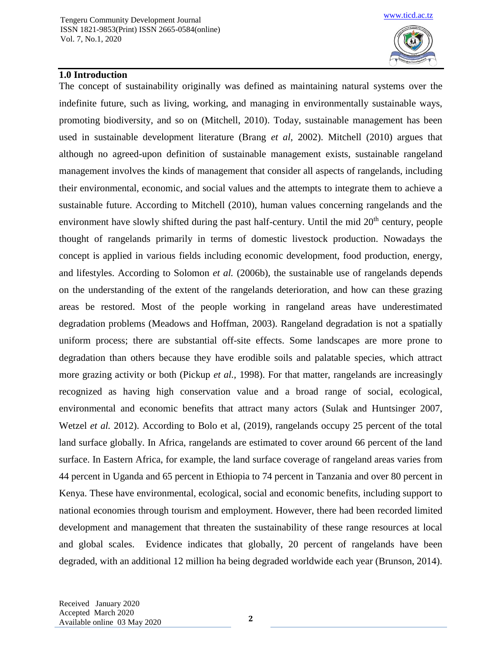

### **1.0 Introduction**

The concept of sustainability originally was defined as maintaining natural systems over the indefinite future, such as living, working, and managing in environmentally sustainable ways, promoting biodiversity, and so on (Mitchell, 2010). Today, sustainable management has been used in sustainable development literature (Brang *et al,* 2002). Mitchell (2010) argues that although no agreed-upon definition of sustainable management exists, sustainable rangeland management involves the kinds of management that consider all aspects of rangelands, including their environmental, economic, and social values and the attempts to integrate them to achieve a sustainable future. According to Mitchell (2010), human values concerning rangelands and the environment have slowly shifted during the past half-century. Until the mid 20<sup>th</sup> century, people thought of rangelands primarily in terms of domestic livestock production. Nowadays the concept is applied in various fields including economic development, food production, energy, and lifestyles. According to Solomon *et al.* (2006b), the sustainable use of rangelands depends on the understanding of the extent of the rangelands deterioration, and how can these grazing areas be restored. Most of the people working in rangeland areas have underestimated degradation problems (Meadows and Hoffman, 2003). Rangeland degradation is not a spatially uniform process; there are substantial off-site effects. Some landscapes are more prone to degradation than others because they have erodible soils and palatable species, which attract more grazing activity or both (Pickup *et al.,* 1998). For that matter, rangelands are increasingly recognized as having high conservation value and a broad range of social, ecological, environmental and economic benefits that attract many actors (Sulak and Huntsinger 2007, Wetzel *et al.* 2012). According to Bolo et al, (2019), rangelands occupy 25 percent of the total land surface globally. In Africa, rangelands are estimated to cover around 66 percent of the land surface. In Eastern Africa, for example, the land surface coverage of rangeland areas varies from 44 percent in Uganda and 65 percent in Ethiopia to 74 percent in Tanzania and over 80 percent in Kenya. These have environmental, ecological, social and economic benefits, including support to national economies through tourism and employment. However, there had been recorded limited development and management that threaten the sustainability of these range resources at local and global scales. Evidence indicates that globally, 20 percent of rangelands have been degraded, with an additional 12 million ha being degraded worldwide each year (Brunson, 2014).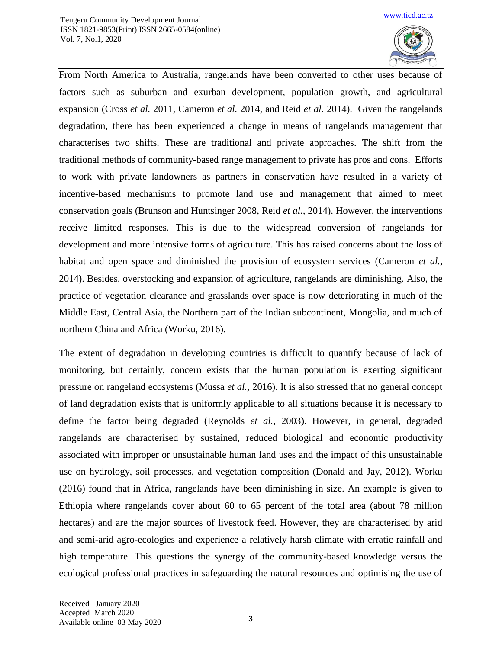

From North America to Australia, rangelands have been converted to other uses because of factors such as suburban and exurban development, population growth, and agricultural expansion (Cross *et al.* 2011, Cameron *et al.* 2014, and Reid *et al.* 2014). Given the rangelands degradation, there has been experienced a change in means of rangelands management that characterises two shifts. These are traditional and private approaches. The shift from the traditional methods of community-based range management to private has pros and cons. Efforts to work with private landowners as partners in conservation have resulted in a variety of incentive-based mechanisms to promote land use and management that aimed to meet conservation goals (Brunson and Huntsinger 2008, Reid *et al.,* 2014). However, the interventions receive limited responses. This is due to the widespread conversion of rangelands for development and more intensive forms of agriculture. This has raised concerns about the loss of habitat and open space and diminished the provision of ecosystem services (Cameron *et al.,* 2014). Besides, overstocking and expansion of agriculture, rangelands are diminishing. Also, the practice of vegetation clearance and grasslands over space is now deteriorating in much of the Middle East, Central Asia, the Northern part of the Indian subcontinent, Mongolia, and much of northern China and Africa (Worku, 2016).

The extent of degradation in developing countries is difficult to quantify because of lack of monitoring, but certainly, concern exists that the human population is exerting significant pressure on rangeland ecosystems (Mussa *et al.,* 2016). It is also stressed that no general concept of land degradation exists that is uniformly applicable to all situations because it is necessary to define the factor being degraded (Reynolds *et al.,* 2003). However, in general, degraded rangelands are characterised by sustained, reduced biological and economic productivity associated with improper or unsustainable human land uses and the impact of this unsustainable use on hydrology, soil processes, and vegetation composition (Donald and Jay, 2012). Worku (2016) found that in Africa, rangelands have been diminishing in size. An example is given to Ethiopia where rangelands cover about 60 to 65 percent of the total area (about 78 million hectares) and are the major sources of livestock feed. However, they are characterised by arid and semi-arid agro-ecologies and experience a relatively harsh climate with erratic rainfall and high temperature. This questions the synergy of the community-based knowledge versus the ecological professional practices in safeguarding the natural resources and optimising the use of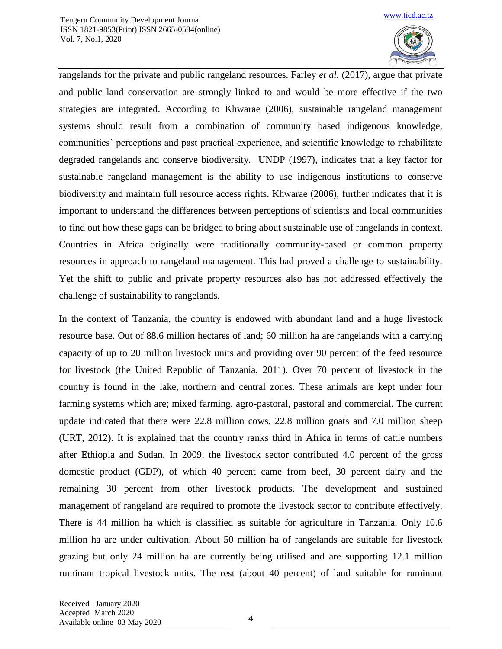

rangelands for the private and public rangeland resources. Farley *et al.* (2017), argue that private and public land conservation are strongly linked to and would be more effective if the two strategies are integrated. According to Khwarae (2006), sustainable rangeland management systems should result from a combination of community based indigenous knowledge, communities' perceptions and past practical experience, and scientific knowledge to rehabilitate degraded rangelands and conserve biodiversity. UNDP (1997), indicates that a key factor for sustainable rangeland management is the ability to use indigenous institutions to conserve biodiversity and maintain full resource access rights. Khwarae (2006), further indicates that it is important to understand the differences between perceptions of scientists and local communities to find out how these gaps can be bridged to bring about sustainable use of rangelands in context. Countries in Africa originally were traditionally community-based or common property resources in approach to rangeland management. This had proved a challenge to sustainability. Yet the shift to public and private property resources also has not addressed effectively the challenge of sustainability to rangelands.

In the context of Tanzania, the country is endowed with abundant land and a huge livestock resource base. Out of 88.6 million hectares of land; 60 million ha are rangelands with a carrying capacity of up to 20 million livestock units and providing over 90 percent of the feed resource for livestock (the United Republic of Tanzania, 2011). Over 70 percent of livestock in the country is found in the lake, northern and central zones. These animals are kept under four farming systems which are; mixed farming, agro-pastoral, pastoral and commercial. The current update indicated that there were 22.8 million cows, 22.8 million goats and 7.0 million sheep (URT, 2012). It is explained that the country ranks third in Africa in terms of cattle numbers after Ethiopia and Sudan. In 2009, the livestock sector contributed 4.0 percent of the gross domestic product (GDP), of which 40 percent came from beef, 30 percent dairy and the remaining 30 percent from other livestock products. The development and sustained management of rangeland are required to promote the livestock sector to contribute effectively. There is 44 million ha which is classified as suitable for agriculture in Tanzania. Only 10.6 million ha are under cultivation. About 50 million ha of rangelands are suitable for livestock grazing but only 24 million ha are currently being utilised and are supporting 12.1 million ruminant tropical livestock units. The rest (about 40 percent) of land suitable for ruminant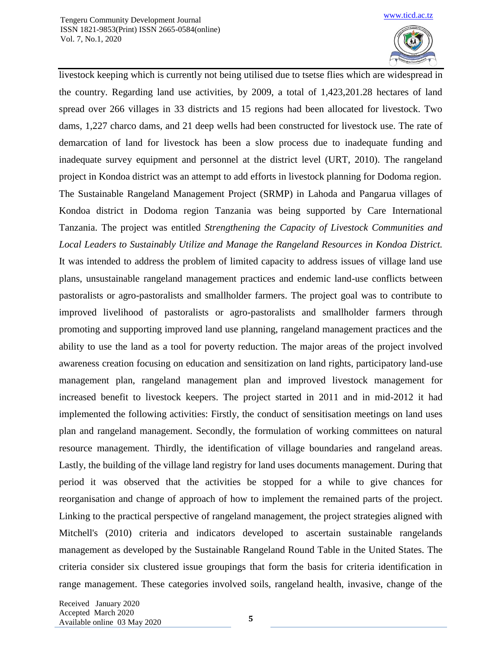

livestock keeping which is currently not being utilised due to tsetse flies which are widespread in the country. Regarding land use activities, by 2009, a total of 1,423,201.28 hectares of land spread over 266 villages in 33 districts and 15 regions had been allocated for livestock. Two dams, 1,227 charco dams, and 21 deep wells had been constructed for livestock use. The rate of demarcation of land for livestock has been a slow process due to inadequate funding and inadequate survey equipment and personnel at the district level (URT, 2010). The rangeland project in Kondoa district was an attempt to add efforts in livestock planning for Dodoma region. The Sustainable Rangeland Management Project (SRMP) in Lahoda and Pangarua villages of Kondoa district in Dodoma region Tanzania was being supported by Care International Tanzania. The project was entitled *Strengthening the Capacity of Livestock Communities and Local Leaders to Sustainably Utilize and Manage the Rangeland Resources in Kondoa District.* It was intended to address the problem of limited capacity to address issues of village land use plans, unsustainable rangeland management practices and endemic land-use conflicts between pastoralists or agro-pastoralists and smallholder farmers. The project goal was to contribute to improved livelihood of pastoralists or agro-pastoralists and smallholder farmers through promoting and supporting improved land use planning, rangeland management practices and the ability to use the land as a tool for poverty reduction. The major areas of the project involved awareness creation focusing on education and sensitization on land rights, participatory land-use management plan, rangeland management plan and improved livestock management for increased benefit to livestock keepers. The project started in 2011 and in mid-2012 it had implemented the following activities: Firstly, the conduct of sensitisation meetings on land uses plan and rangeland management. Secondly, the formulation of working committees on natural resource management. Thirdly, the identification of village boundaries and rangeland areas. Lastly, the building of the village land registry for land uses documents management. During that period it was observed that the activities be stopped for a while to give chances for reorganisation and change of approach of how to implement the remained parts of the project. Linking to the practical perspective of rangeland management, the project strategies aligned with Mitchell's (2010) criteria and indicators developed to ascertain sustainable rangelands management as developed by the Sustainable Rangeland Round Table in the United States. The criteria consider six clustered issue groupings that form the basis for criteria identification in range management. These categories involved soils, rangeland health, invasive, change of the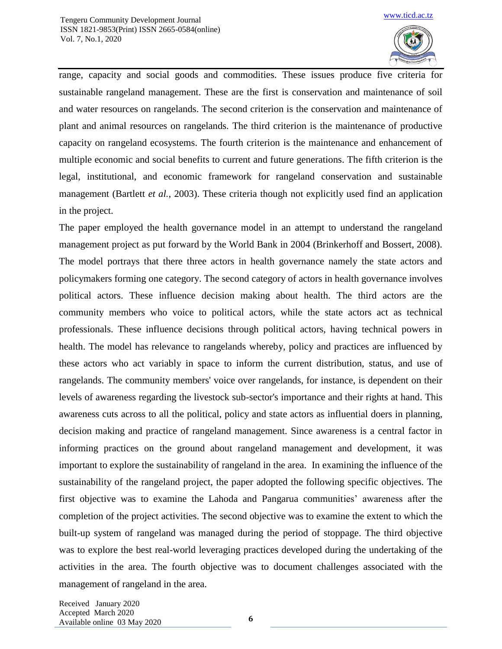

range, capacity and social goods and commodities. These issues produce five criteria for sustainable rangeland management. These are the first is conservation and maintenance of soil and water resources on rangelands. The second criterion is the conservation and maintenance of plant and animal resources on rangelands. The third criterion is the maintenance of productive capacity on rangeland ecosystems. The fourth criterion is the maintenance and enhancement of multiple economic and social benefits to current and future generations. The fifth criterion is the legal, institutional, and economic framework for rangeland conservation and sustainable management (Bartlett *et al.*, 2003). These criteria though not explicitly used find an application in the project.

The paper employed the health governance model in an attempt to understand the rangeland management project as put forward by the World Bank in 2004 (Brinkerhoff and Bossert, 2008). The model portrays that there three actors in health governance namely the state actors and policymakers forming one category. The second category of actors in health governance involves political actors. These influence decision making about health. The third actors are the community members who voice to political actors, while the state actors act as technical professionals. These influence decisions through political actors, having technical powers in health. The model has relevance to rangelands whereby, policy and practices are influenced by these actors who act variably in space to inform the current distribution, status, and use of rangelands. The community members' voice over rangelands, for instance, is dependent on their levels of awareness regarding the livestock sub-sector's importance and their rights at hand. This awareness cuts across to all the political, policy and state actors as influential doers in planning, decision making and practice of rangeland management. Since awareness is a central factor in informing practices on the ground about rangeland management and development, it was important to explore the sustainability of rangeland in the area. In examining the influence of the sustainability of the rangeland project, the paper adopted the following specific objectives. The first objective was to examine the Lahoda and Pangarua communities' awareness after the completion of the project activities. The second objective was to examine the extent to which the built-up system of rangeland was managed during the period of stoppage. The third objective was to explore the best real-world leveraging practices developed during the undertaking of the activities in the area. The fourth objective was to document challenges associated with the management of rangeland in the area.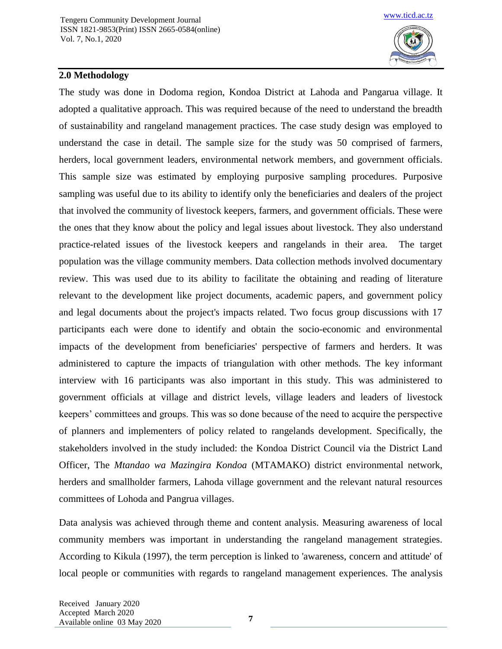

# **2.0 Methodology**

The study was done in Dodoma region, Kondoa District at Lahoda and Pangarua village. It adopted a qualitative approach. This was required because of the need to understand the breadth of sustainability and rangeland management practices. The case study design was employed to understand the case in detail. The sample size for the study was 50 comprised of farmers, herders, local government leaders, environmental network members, and government officials. This sample size was estimated by employing purposive sampling procedures. Purposive sampling was useful due to its ability to identify only the beneficiaries and dealers of the project that involved the community of livestock keepers, farmers, and government officials. These were the ones that they know about the policy and legal issues about livestock. They also understand practice-related issues of the livestock keepers and rangelands in their area. The target population was the village community members. Data collection methods involved documentary review. This was used due to its ability to facilitate the obtaining and reading of literature relevant to the development like project documents, academic papers, and government policy and legal documents about the project's impacts related. Two focus group discussions with 17 participants each were done to identify and obtain the socio-economic and environmental impacts of the development from beneficiaries' perspective of farmers and herders. It was administered to capture the impacts of triangulation with other methods. The key informant interview with 16 participants was also important in this study. This was administered to government officials at village and district levels, village leaders and leaders of livestock keepers' committees and groups. This was so done because of the need to acquire the perspective of planners and implementers of policy related to rangelands development. Specifically, the stakeholders involved in the study included: the Kondoa District Council via the District Land Officer, The *Mtandao wa Mazingira Kondoa* (MTAMAKO) district environmental network, herders and smallholder farmers, Lahoda village government and the relevant natural resources committees of Lohoda and Pangrua villages.

Data analysis was achieved through theme and content analysis. Measuring awareness of local community members was important in understanding the rangeland management strategies. According to Kikula (1997), the term perception is linked to 'awareness, concern and attitude' of local people or communities with regards to rangeland management experiences. The analysis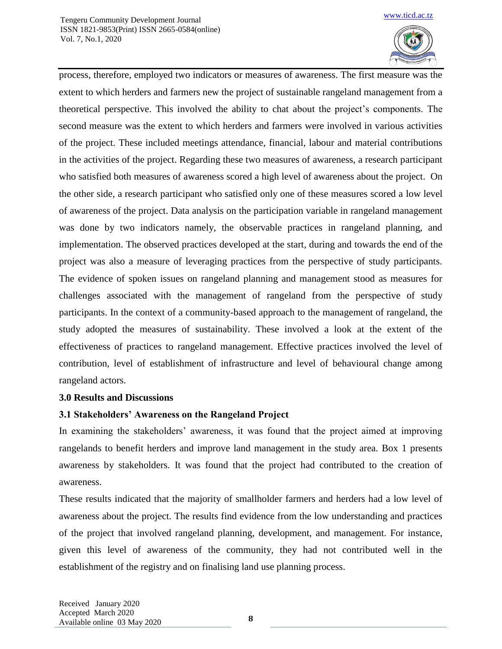

process, therefore, employed two indicators or measures of awareness. The first measure was the extent to which herders and farmers new the project of sustainable rangeland management from a theoretical perspective. This involved the ability to chat about the project's components. The second measure was the extent to which herders and farmers were involved in various activities of the project. These included meetings attendance, financial, labour and material contributions in the activities of the project. Regarding these two measures of awareness, a research participant who satisfied both measures of awareness scored a high level of awareness about the project. On the other side, a research participant who satisfied only one of these measures scored a low level of awareness of the project. Data analysis on the participation variable in rangeland management was done by two indicators namely, the observable practices in rangeland planning, and implementation. The observed practices developed at the start, during and towards the end of the project was also a measure of leveraging practices from the perspective of study participants. The evidence of spoken issues on rangeland planning and management stood as measures for challenges associated with the management of rangeland from the perspective of study participants. In the context of a community-based approach to the management of rangeland, the study adopted the measures of sustainability. These involved a look at the extent of the effectiveness of practices to rangeland management. Effective practices involved the level of contribution, level of establishment of infrastructure and level of behavioural change among rangeland actors.

# **3.0 Results and Discussions**

# **3.1 Stakeholders' Awareness on the Rangeland Project**

In examining the stakeholders' awareness, it was found that the project aimed at improving rangelands to benefit herders and improve land management in the study area. Box 1 presents awareness by stakeholders. It was found that the project had contributed to the creation of awareness.

These results indicated that the majority of smallholder farmers and herders had a low level of awareness about the project. The results find evidence from the low understanding and practices of the project that involved rangeland planning, development, and management. For instance, given this level of awareness of the community, they had not contributed well in the establishment of the registry and on finalising land use planning process.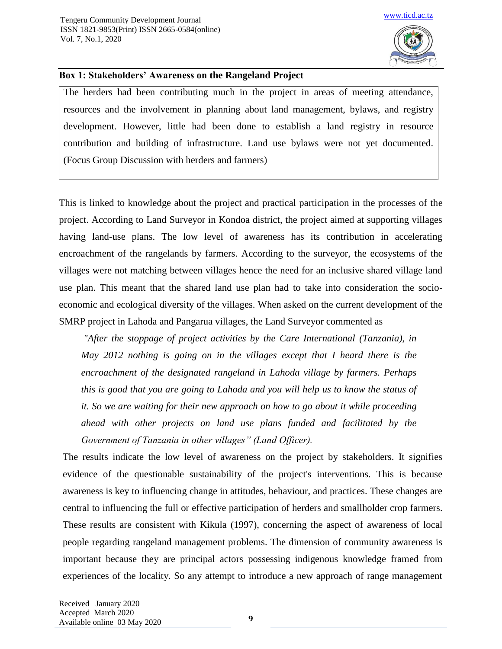

#### **Box 1: Stakeholders' Awareness on the Rangeland Project**

The herders had been contributing much in the project in areas of meeting attendance, resources and the involvement in planning about land management, bylaws, and registry development. However, little had been done to establish a land registry in resource contribution and building of infrastructure. Land use bylaws were not yet documented. (Focus Group Discussion with herders and farmers)

This is linked to knowledge about the project and practical participation in the processes of the project. According to Land Surveyor in Kondoa district, the project aimed at supporting villages having land-use plans. The low level of awareness has its contribution in accelerating encroachment of the rangelands by farmers. According to the surveyor, the ecosystems of the villages were not matching between villages hence the need for an inclusive shared village land use plan. This meant that the shared land use plan had to take into consideration the socioeconomic and ecological diversity of the villages. When asked on the current development of the SMRP project in Lahoda and Pangarua villages, the Land Surveyor commented as

*"After the stoppage of project activities by the Care International (Tanzania), in May 2012 nothing is going on in the villages except that I heard there is the encroachment of the designated rangeland in Lahoda village by farmers. Perhaps this is good that you are going to Lahoda and you will help us to know the status of it. So we are waiting for their new approach on how to go about it while proceeding ahead with other projects on land use plans funded and facilitated by the Government of Tanzania in other villages" (Land Officer).*

The results indicate the low level of awareness on the project by stakeholders. It signifies evidence of the questionable sustainability of the project's interventions. This is because awareness is key to influencing change in attitudes, behaviour, and practices. These changes are central to influencing the full or effective participation of herders and smallholder crop farmers. These results are consistent with Kikula (1997), concerning the aspect of awareness of local people regarding rangeland management problems. The dimension of community awareness is important because they are principal actors possessing indigenous knowledge framed from experiences of the locality. So any attempt to introduce a new approach of range management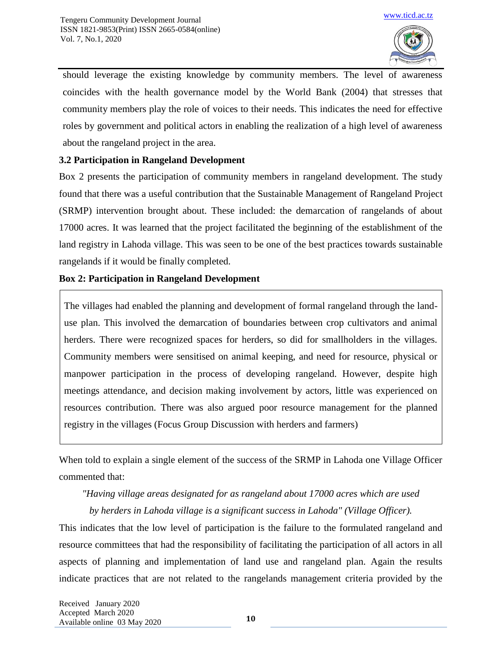

should leverage the existing knowledge by community members. The level of awareness coincides with the health governance model by the World Bank (2004) that stresses that community members play the role of voices to their needs. This indicates the need for effective roles by government and political actors in enabling the realization of a high level of awareness about the rangeland project in the area.

# **3.2 Participation in Rangeland Development**

Box 2 presents the participation of community members in rangeland development. The study found that there was a useful contribution that the Sustainable Management of Rangeland Project (SRMP) intervention brought about. These included: the demarcation of rangelands of about 17000 acres. It was learned that the project facilitated the beginning of the establishment of the land registry in Lahoda village. This was seen to be one of the best practices towards sustainable rangelands if it would be finally completed.

# **Box 2: Participation in Rangeland Development**

The villages had enabled the planning and development of formal rangeland through the landuse plan. This involved the demarcation of boundaries between crop cultivators and animal herders. There were recognized spaces for herders, so did for smallholders in the villages. Community members were sensitised on animal keeping, and need for resource, physical or manpower participation in the process of developing rangeland. However, despite high meetings attendance, and decision making involvement by actors, little was experienced on resources contribution. There was also argued poor resource management for the planned registry in the villages (Focus Group Discussion with herders and farmers)

When told to explain a single element of the success of the SRMP in Lahoda one Village Officer commented that:

# *"Having village areas designated for as rangeland about 17000 acres which are used by herders in Lahoda village is a significant success in Lahoda" (Village Officer).*

This indicates that the low level of participation is the failure to the formulated rangeland and resource committees that had the responsibility of facilitating the participation of all actors in all aspects of planning and implementation of land use and rangeland plan. Again the results indicate practices that are not related to the rangelands management criteria provided by the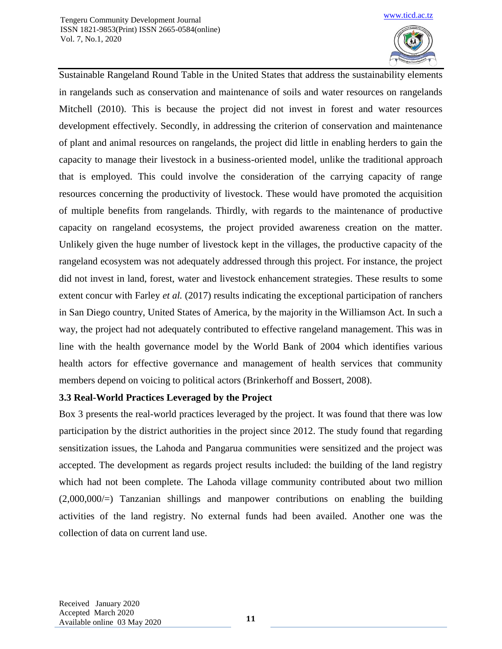

Sustainable Rangeland Round Table in the United States that address the sustainability elements in rangelands such as conservation and maintenance of soils and water resources on rangelands Mitchell (2010). This is because the project did not invest in forest and water resources development effectively. Secondly, in addressing the criterion of conservation and maintenance of plant and animal resources on rangelands, the project did little in enabling herders to gain the capacity to manage their livestock in a business-oriented model, unlike the traditional approach that is employed. This could involve the consideration of the carrying capacity of range resources concerning the productivity of livestock. These would have promoted the acquisition of multiple benefits from rangelands. Thirdly, with regards to the maintenance of productive capacity on rangeland ecosystems, the project provided awareness creation on the matter. Unlikely given the huge number of livestock kept in the villages, the productive capacity of the rangeland ecosystem was not adequately addressed through this project. For instance, the project did not invest in land, forest, water and livestock enhancement strategies. These results to some extent concur with Farley *et al.* (2017) results indicating the exceptional participation of ranchers in San Diego country, United States of America, by the majority in the Williamson Act. In such a way, the project had not adequately contributed to effective rangeland management. This was in line with the health governance model by the World Bank of 2004 which identifies various health actors for effective governance and management of health services that community members depend on voicing to political actors (Brinkerhoff and Bossert, 2008).

# **3.3 Real-World Practices Leveraged by the Project**

Box 3 presents the real-world practices leveraged by the project. It was found that there was low participation by the district authorities in the project since 2012. The study found that regarding sensitization issues, the Lahoda and Pangarua communities were sensitized and the project was accepted. The development as regards project results included: the building of the land registry which had not been complete. The Lahoda village community contributed about two million (2,000,000/=) Tanzanian shillings and manpower contributions on enabling the building activities of the land registry. No external funds had been availed. Another one was the collection of data on current land use.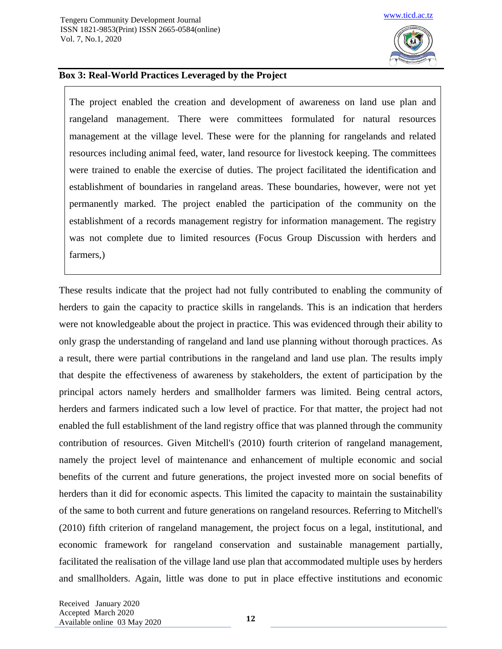

### **Box 3: Real-World Practices Leveraged by the Project**

The project enabled the creation and development of awareness on land use plan and rangeland management. There were committees formulated for natural resources management at the village level. These were for the planning for rangelands and related resources including animal feed, water, land resource for livestock keeping. The committees were trained to enable the exercise of duties. The project facilitated the identification and establishment of boundaries in rangeland areas. These boundaries, however, were not yet permanently marked. The project enabled the participation of the community on the establishment of a records management registry for information management. The registry was not complete due to limited resources (Focus Group Discussion with herders and farmers,)

These results indicate that the project had not fully contributed to enabling the community of herders to gain the capacity to practice skills in rangelands. This is an indication that herders were not knowledgeable about the project in practice. This was evidenced through their ability to only grasp the understanding of rangeland and land use planning without thorough practices. As a result, there were partial contributions in the rangeland and land use plan. The results imply that despite the effectiveness of awareness by stakeholders, the extent of participation by the principal actors namely herders and smallholder farmers was limited. Being central actors, herders and farmers indicated such a low level of practice. For that matter, the project had not enabled the full establishment of the land registry office that was planned through the community contribution of resources. Given Mitchell's (2010) fourth criterion of rangeland management, namely the project level of maintenance and enhancement of multiple economic and social benefits of the current and future generations, the project invested more on social benefits of herders than it did for economic aspects. This limited the capacity to maintain the sustainability of the same to both current and future generations on rangeland resources. Referring to Mitchell's (2010) fifth criterion of rangeland management, the project focus on a legal, institutional, and economic framework for rangeland conservation and sustainable management partially, facilitated the realisation of the village land use plan that accommodated multiple uses by herders and smallholders. Again, little was done to put in place effective institutions and economic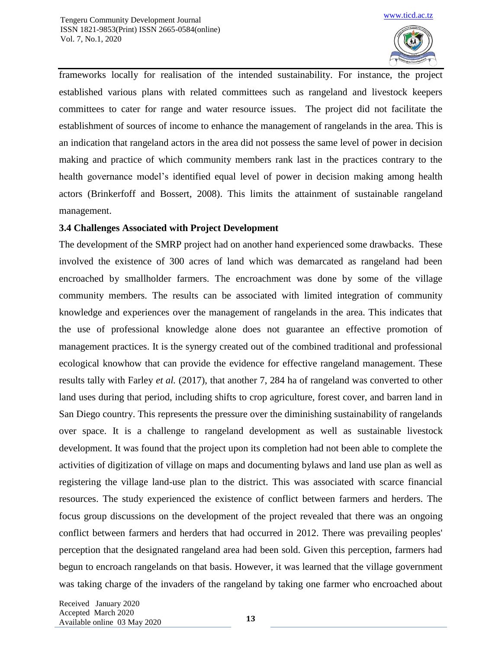

frameworks locally for realisation of the intended sustainability. For instance, the project established various plans with related committees such as rangeland and livestock keepers committees to cater for range and water resource issues. The project did not facilitate the establishment of sources of income to enhance the management of rangelands in the area. This is an indication that rangeland actors in the area did not possess the same level of power in decision making and practice of which community members rank last in the practices contrary to the health governance model's identified equal level of power in decision making among health actors (Brinkerfoff and Bossert, 2008). This limits the attainment of sustainable rangeland management.

# **3.4 Challenges Associated with Project Development**

The development of the SMRP project had on another hand experienced some drawbacks. These involved the existence of 300 acres of land which was demarcated as rangeland had been encroached by smallholder farmers. The encroachment was done by some of the village community members. The results can be associated with limited integration of community knowledge and experiences over the management of rangelands in the area. This indicates that the use of professional knowledge alone does not guarantee an effective promotion of management practices. It is the synergy created out of the combined traditional and professional ecological knowhow that can provide the evidence for effective rangeland management. These results tally with Farley *et al.* (2017), that another 7, 284 ha of rangeland was converted to other land uses during that period, including shifts to crop agriculture, forest cover, and barren land in San Diego country. This represents the pressure over the diminishing sustainability of rangelands over space. It is a challenge to rangeland development as well as sustainable livestock development. It was found that the project upon its completion had not been able to complete the activities of digitization of village on maps and documenting bylaws and land use plan as well as registering the village land-use plan to the district. This was associated with scarce financial resources. The study experienced the existence of conflict between farmers and herders. The focus group discussions on the development of the project revealed that there was an ongoing conflict between farmers and herders that had occurred in 2012. There was prevailing peoples' perception that the designated rangeland area had been sold. Given this perception, farmers had begun to encroach rangelands on that basis. However, it was learned that the village government was taking charge of the invaders of the rangeland by taking one farmer who encroached about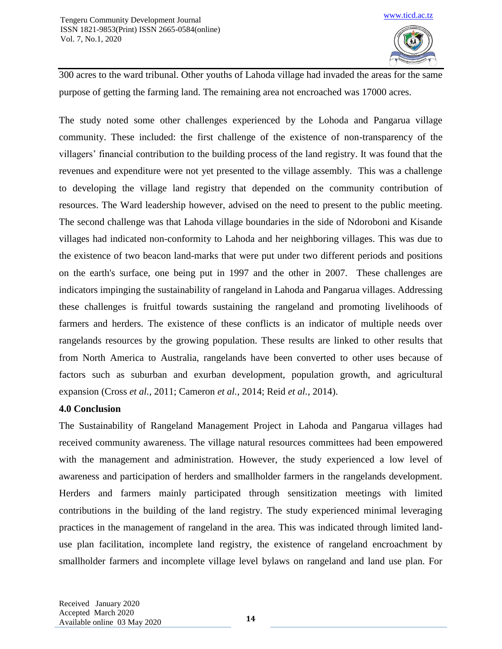

300 acres to the ward tribunal. Other youths of Lahoda village had invaded the areas for the same purpose of getting the farming land. The remaining area not encroached was 17000 acres.

The study noted some other challenges experienced by the Lohoda and Pangarua village community. These included: the first challenge of the existence of non-transparency of the villagers' financial contribution to the building process of the land registry. It was found that the revenues and expenditure were not yet presented to the village assembly. This was a challenge to developing the village land registry that depended on the community contribution of resources. The Ward leadership however, advised on the need to present to the public meeting. The second challenge was that Lahoda village boundaries in the side of Ndoroboni and Kisande villages had indicated non-conformity to Lahoda and her neighboring villages. This was due to the existence of two beacon land-marks that were put under two different periods and positions on the earth's surface, one being put in 1997 and the other in 2007. These challenges are indicators impinging the sustainability of rangeland in Lahoda and Pangarua villages. Addressing these challenges is fruitful towards sustaining the rangeland and promoting livelihoods of farmers and herders. The existence of these conflicts is an indicator of multiple needs over rangelands resources by the growing population. These results are linked to other results that from North America to Australia, rangelands have been converted to other uses because of factors such as suburban and exurban development, population growth, and agricultural expansion (Cross *et al.,* 2011; Cameron *et al.,* 2014; Reid *et al.,* 2014).

### **4.0 Conclusion**

The Sustainability of Rangeland Management Project in Lahoda and Pangarua villages had received community awareness. The village natural resources committees had been empowered with the management and administration. However, the study experienced a low level of awareness and participation of herders and smallholder farmers in the rangelands development. Herders and farmers mainly participated through sensitization meetings with limited contributions in the building of the land registry. The study experienced minimal leveraging practices in the management of rangeland in the area. This was indicated through limited landuse plan facilitation, incomplete land registry, the existence of rangeland encroachment by smallholder farmers and incomplete village level bylaws on rangeland and land use plan. For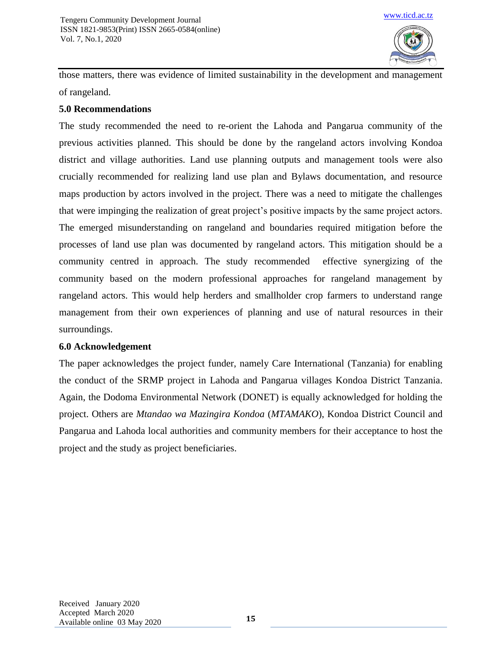

those matters, there was evidence of limited sustainability in the development and management of rangeland.

# **5.0 Recommendations**

The study recommended the need to re-orient the Lahoda and Pangarua community of the previous activities planned. This should be done by the rangeland actors involving Kondoa district and village authorities. Land use planning outputs and management tools were also crucially recommended for realizing land use plan and Bylaws documentation, and resource maps production by actors involved in the project. There was a need to mitigate the challenges that were impinging the realization of great project's positive impacts by the same project actors. The emerged misunderstanding on rangeland and boundaries required mitigation before the processes of land use plan was documented by rangeland actors. This mitigation should be a community centred in approach. The study recommended effective synergizing of the community based on the modern professional approaches for rangeland management by rangeland actors. This would help herders and smallholder crop farmers to understand range management from their own experiences of planning and use of natural resources in their surroundings.

# **6.0 Acknowledgement**

The paper acknowledges the project funder, namely Care International (Tanzania) for enabling the conduct of the SRMP project in Lahoda and Pangarua villages Kondoa District Tanzania. Again, the Dodoma Environmental Network (DONET) is equally acknowledged for holding the project. Others are *Mtandao wa Mazingira Kondoa* (*MTAMAKO*), Kondoa District Council and Pangarua and Lahoda local authorities and community members for their acceptance to host the project and the study as project beneficiaries.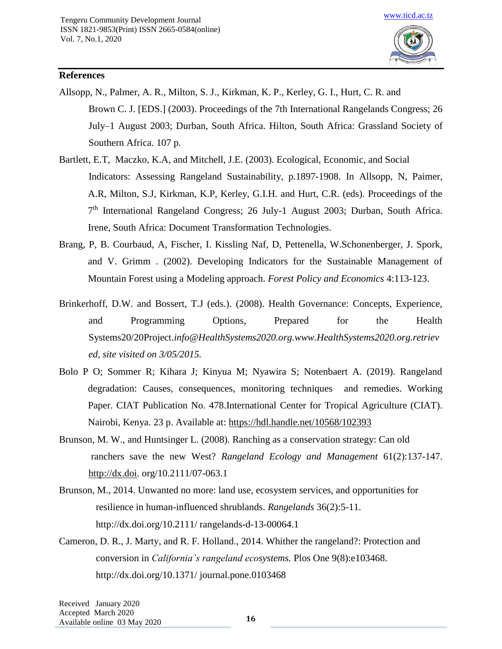

## **References**

- Allsopp, N., Palmer, A. R., Milton, S. J., Kirkman, K. P., Kerley, G. I., Hurt, C. R. and Brown C. J. [EDS.] (2003). Proceedings of the 7th International Rangelands Congress; 26 July–1 August 2003; Durban, South Africa. Hilton, South Africa: Grassland Society of Southern Africa. 107 p.
- Bartlett, E.T, Maczko, K.A, and Mitchell, J.E. (2003). Ecological, Economic, and Social Indicators: Assessing Rangeland Sustainability, p.1897-1908. In Allsopp, N, Paimer, A.R, Milton, S.J, Kirkman, K.P, Kerley, G.I.H. and Hurt, C.R. (eds). Proceedings of the 7<sup>th</sup> International Rangeland Congress; 26 July-1 August 2003; Durban, South Africa. Irene, South Africa: Document Transformation Technologies.
- Brang, P, B. Courbaud, A, Fischer, I. Kissling Naf, D, Pettenella, W.Schonenberger, J. Spork, and V. Grimm . (2002). Developing Indicators for the Sustainable Management of Mountain Forest using a Modeling approach. *Forest Policy and Economics* 4:113-123.
- Brinkerhoff, D.W. and Bossert, T.J (eds.). (2008). Health Governance: Concepts, Experience, and Programming Options, Prepared for the Health Systems20/20Project.*info@HealthSystems2020.org.www.HealthSystems2020.org.retriev ed, site visited on 3/05/2015.*
- Bolo P O; Sommer R; Kihara J; Kinyua M; Nyawira S; Notenbaert A. (2019). Rangeland degradation: Causes, consequences, monitoring techniques and remedies. Working Paper. CIAT Publication No. 478.International Center for Tropical Agriculture (CIAT). Nairobi, Kenya. 23 p. Available at:<https://hdl.handle.net/10568/102393>
- Brunson, M. W., and Huntsinger L. (2008). Ranching as a conservation strategy: Can old ranchers save the new West? *Rangeland Ecology and Management* 61(2):137-147. [http://dx.doi.](http://dx.doi/) org/10.2111/07-063.1
- Brunson, M., 2014. Unwanted no more: land use, ecosystem services, and opportunities for resilience in human-influenced shrublands. *Rangelands* 36(2):5-11. http://dx.doi.org/10.2111/ rangelands-d-13-00064.1
- Cameron, D. R., J. Marty, and R. F. Holland., 2014. Whither the rangeland?: Protection and conversion in *California's rangeland ecosystems.* Plos One 9(8):e103468. http://dx.doi.org/10.1371/ journal.pone.0103468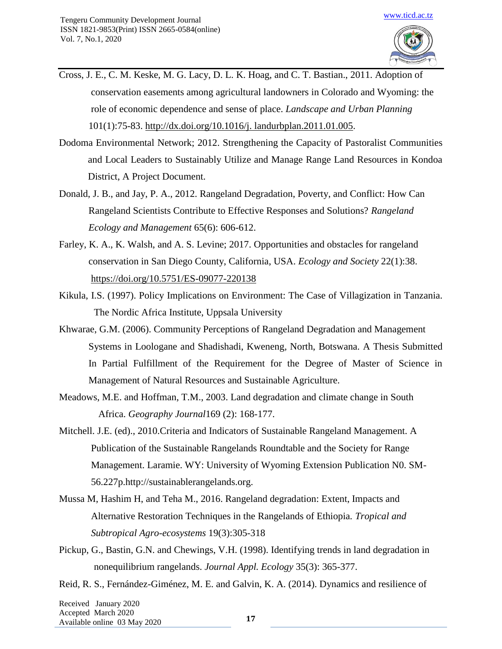- Cross, J. E., C. M. Keske, M. G. Lacy, D. L. K. Hoag, and C. T. Bastian., 2011. Adoption of conservation easements among agricultural landowners in Colorado and Wyoming: the role of economic dependence and sense of place. *Landscape and Urban Planning* 101(1):75-83. [http://dx.doi.org/10.1016/j. landurbplan.2011.01.005.](http://dx.doi.org/10.1016/j.%20landurbplan.2011.01.005)
- Dodoma Environmental Network; 2012. Strengthening the Capacity of Pastoralist Communities and Local Leaders to Sustainably Utilize and Manage Range Land Resources in Kondoa District, A Project Document.
- Donald, J. B., and Jay, P. A., 2012. Rangeland Degradation, Poverty, and Conflict: How Can Rangeland Scientists Contribute to Effective Responses and Solutions? *Rangeland Ecology and Management* 65(6): 606-612.
- Farley, K. A., K. Walsh, and A. S. Levine; 2017. Opportunities and obstacles for rangeland conservation in San Diego County, California, USA. *Ecology and Society* 22(1):38. <https://doi.org/10.5751/ES-09077-220138>
- Kikula, I.S. (1997). Policy Implications on Environment: The Case of Villagization in Tanzania. The Nordic Africa Institute, Uppsala University
- Khwarae, G.M. (2006). Community Perceptions of Rangeland Degradation and Management Systems in Loologane and Shadishadi, Kweneng, North, Botswana. A Thesis Submitted In Partial Fulfillment of the Requirement for the Degree of Master of Science in Management of Natural Resources and Sustainable Agriculture.
- Meadows, M.E. and Hoffman, T.M., 2003. Land degradation and climate change in South Africa. *Geography Journal*169 (2): 168-177.
- Mitchell. J.E. (ed)., 2010.Criteria and Indicators of Sustainable Rangeland Management. A Publication of the Sustainable Rangelands Roundtable and the Society for Range Management. Laramie. WY: University of Wyoming Extension Publication N0. SM- 56.227p.http://sustainablerangelands.org.
- Mussa M, Hashim H, and Teha M., 2016. Rangeland degradation: Extent, Impacts and Alternative Restoration Techniques in the Rangelands of Ethiopia*. Tropical and Subtropical Agro-ecosystems* 19(3):305-318
- Pickup, G., Bastin, G.N. and Chewings, V.H. (1998). Identifying trends in land degradation in nonequilibrium rangelands. *Journal Appl. Ecology* 35(3): 365-377.
- Reid, R. S., Fernández-Giménez, M. E. and Galvin, K. A. (2014). Dynamics and resilience of

Received January 2020 Accepted March 2020 Available online 03 May <sup>2020</sup> **<sup>17</sup>**